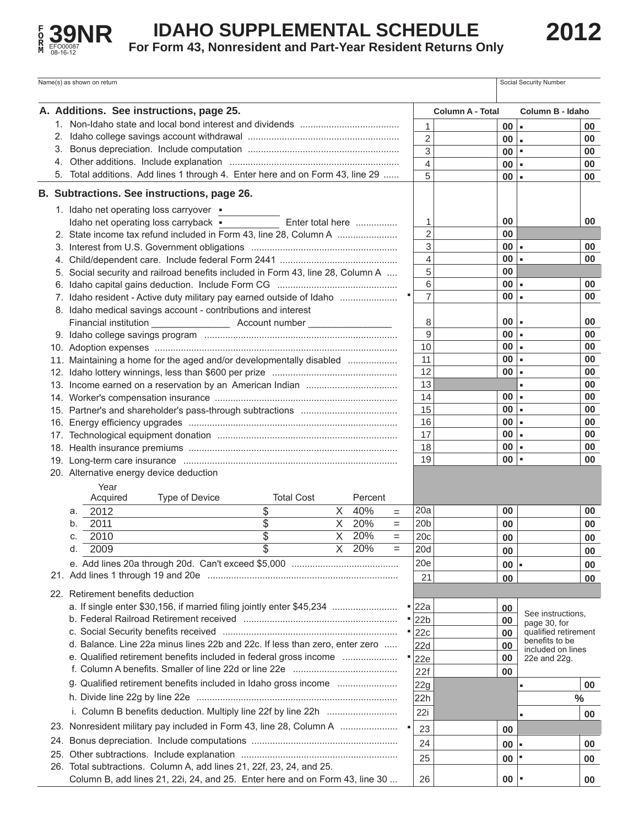

## **IDAHO SUPPLEMENTAL SCHEDULE**

**For Form 43, Nonresident and Part-Year Resident Returns Only** 

|                                         | Name(s) as shown on return                                                         |                       |              | Social Security Number               |               |  |  |  |
|-----------------------------------------|------------------------------------------------------------------------------------|-----------------------|--------------|--------------------------------------|---------------|--|--|--|
|                                         | A. Additions. See instructions, page 25.                                           | Column A - Total      |              | Column B - Idaho                     |               |  |  |  |
|                                         |                                                                                    | 1                     | 00           | $\blacksquare$                       | 00            |  |  |  |
|                                         | 2.                                                                                 | $\overline{2}$        | 00           | ۱.                                   | 00            |  |  |  |
|                                         | 3.                                                                                 | 3                     | $00$ $\vert$ |                                      | 00            |  |  |  |
|                                         | 4.                                                                                 | 4                     | 00           |                                      | 00            |  |  |  |
|                                         | 5. Total additions. Add lines 1 through 4. Enter here and on Form 43, line 29      | 5                     | $00$ $\vert$ |                                      | 00            |  |  |  |
|                                         | B. Subtractions. See instructions, page 26.                                        |                       |              |                                      |               |  |  |  |
|                                         | 1. Idaho net operating loss carryover .                                            |                       |              |                                      |               |  |  |  |
|                                         | Enter total here<br>Idaho net operating loss carryback .                           | 1                     | 00           |                                      | 00            |  |  |  |
|                                         | 2. State income tax refund included in Form 43, line 28, Column A                  | $\overline{2}$        | 00           |                                      |               |  |  |  |
|                                         |                                                                                    | 3                     | $00 -$       |                                      | 00            |  |  |  |
|                                         |                                                                                    | 4                     | $00 -$       |                                      | 00            |  |  |  |
|                                         | Social security and railroad benefits included in Form 43, line 28, Column A<br>5. | 5                     | 00           |                                      |               |  |  |  |
|                                         |                                                                                    | 6                     | $00 -$       |                                      | 00            |  |  |  |
|                                         | 7. Idaho resident - Active duty military pay earned outside of Idaho               | $\overline{7}$        | $00 -$       |                                      | 00            |  |  |  |
|                                         | 8. Idaho medical savings account - contributions and interest                      |                       |              |                                      |               |  |  |  |
|                                         |                                                                                    | 8                     | 00           | $\blacksquare$                       | 00            |  |  |  |
|                                         |                                                                                    | 9                     | 00           | $\blacksquare$                       | 00            |  |  |  |
|                                         |                                                                                    | 10                    | $00 -$       |                                      | 00            |  |  |  |
|                                         | 11. Maintaining a home for the aged and/or developmentally disabled                | 11                    | 00           | ۰.                                   | 00            |  |  |  |
|                                         |                                                                                    | 12                    | $00 -$       |                                      | 00            |  |  |  |
|                                         |                                                                                    | 13                    |              |                                      | 00            |  |  |  |
|                                         |                                                                                    | 14                    | $00 -$       |                                      | 00            |  |  |  |
|                                         |                                                                                    | 15                    | $00 -$       |                                      | 00            |  |  |  |
|                                         |                                                                                    | 16                    | $00 -$       |                                      | 00            |  |  |  |
|                                         |                                                                                    | 17                    | 00           |                                      | 00            |  |  |  |
|                                         |                                                                                    | 18                    | $00 -$       |                                      | 00            |  |  |  |
|                                         |                                                                                    | 19                    | $00$  =      |                                      | 00            |  |  |  |
| 20. Alternative energy device deduction |                                                                                    |                       |              |                                      |               |  |  |  |
|                                         | Year                                                                               |                       |              |                                      |               |  |  |  |
|                                         | <b>Total Cost</b><br>Type of Device<br>Percent<br>Acquired                         |                       |              |                                      |               |  |  |  |
|                                         | \$<br>40%<br>X<br>2012<br>а.<br>$=$                                                | 20a                   | 00           |                                      | 00            |  |  |  |
|                                         | \$<br>$\overline{X}$<br>20%<br>2011<br>b.<br>$=$                                   | 20 <sub>b</sub>       | 00           |                                      | 00            |  |  |  |
|                                         | $\overline{\mathbb{S}}$<br>$\overline{X}$<br>20%<br>2010<br>C.<br>$=$              | 20c                   | 00           |                                      | 00            |  |  |  |
|                                         | \$<br>X 20%<br>d.<br>2009<br>$=$                                                   | 20d                   | 00           |                                      | 00            |  |  |  |
|                                         |                                                                                    | 20e                   | 00           |                                      | 00            |  |  |  |
|                                         |                                                                                    | 21                    | 00           |                                      | 00            |  |  |  |
|                                         | 22. Retirement benefits deduction                                                  |                       |              |                                      |               |  |  |  |
|                                         | a. If single enter \$30,156, if married filing jointly enter \$45,234              |                       |              |                                      |               |  |  |  |
|                                         |                                                                                    | $\blacksquare$ 22a    | 00           | See instructions,                    |               |  |  |  |
|                                         |                                                                                    | ■ 22b                 | 00           | page 30, for<br>qualified retirement |               |  |  |  |
|                                         | d. Balance. Line 22a minus lines 22b and 22c. If less than zero, enter zero        | $\blacksquare$ 22 $c$ | 00           | benefits to be                       |               |  |  |  |
|                                         | e. Qualified retirement benefits included in federal gross income                  | 22d                   | 00           | included on lines                    |               |  |  |  |
|                                         |                                                                                    | 22e                   | 00           | 22e and 22g.                         |               |  |  |  |
|                                         |                                                                                    | 22f                   | 00           |                                      |               |  |  |  |
|                                         | g. Qualified retirement benefits included in Idaho gross income                    | 22g                   |              |                                      | 00            |  |  |  |
|                                         |                                                                                    | 22h                   |              |                                      | $\frac{0}{0}$ |  |  |  |
|                                         |                                                                                    | 22i                   |              |                                      | 00            |  |  |  |
|                                         | 23. Nonresident military pay included in Form 43, line 28, Column A                | 23                    | 00           |                                      |               |  |  |  |
|                                         | 24.                                                                                | 24                    | 00           |                                      | 00            |  |  |  |
|                                         |                                                                                    | 25                    |              |                                      |               |  |  |  |
|                                         | 26. Total subtractions. Column A, add lines 21, 22f, 23, 24, and 25.               |                       | 00           |                                      | 00            |  |  |  |
|                                         | Column B, add lines 21, 22i, 24, and 25. Enter here and on Form 43, line 30        | 26                    | 00           |                                      | 00            |  |  |  |